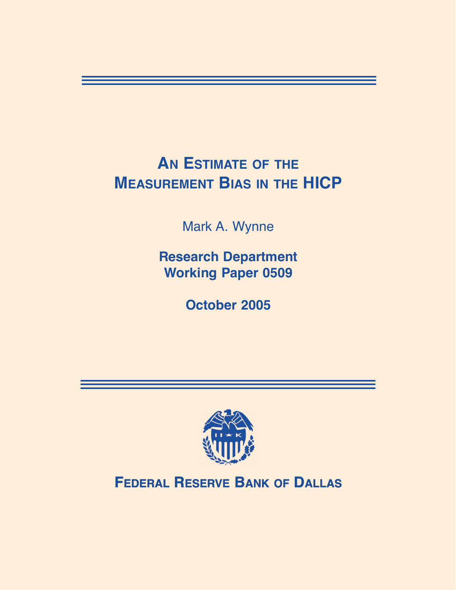# **AN ESTIMATE OF THE MEASUREMENT BIAS IN THE HICP**

Mark A. Wynne

**Research Department Working Paper 0509**

**October 2005**



**FEDERAL RESERVE BANK OF DALLAS**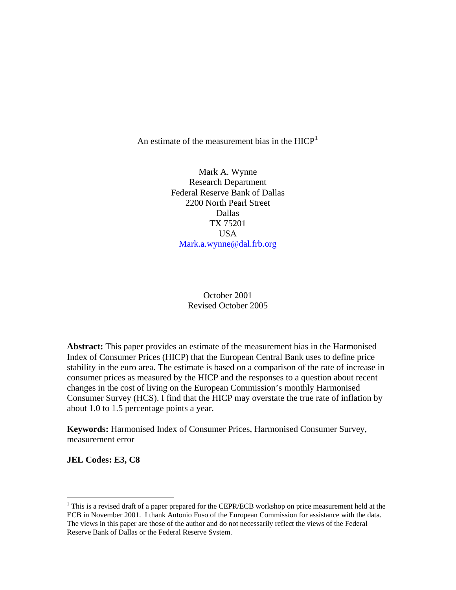An estimate of the measurement bias in the  $HICP<sup>1</sup>$  $HICP<sup>1</sup>$  $HICP<sup>1</sup>$ 

Mark A. Wynne Research Department Federal Reserve Bank of Dallas 2200 North Pearl Street Dallas TX 75201 USA [Mark.a.wynne@dal.frb.org](mailto:Mark.a.wynne@dal.frb.org)

## October 2001 Revised October 2005

**Abstract:** This paper provides an estimate of the measurement bias in the Harmonised Index of Consumer Prices (HICP) that the European Central Bank uses to define price stability in the euro area. The estimate is based on a comparison of the rate of increase in consumer prices as measured by the HICP and the responses to a question about recent changes in the cost of living on the European Commission's monthly Harmonised Consumer Survey (HCS). I find that the HICP may overstate the true rate of inflation by about 1.0 to 1.5 percentage points a year.

**Keywords:** Harmonised Index of Consumer Prices, Harmonised Consumer Survey, measurement error

**JEL Codes: E3, C8** 

 $\overline{a}$ 

<span id="page-1-0"></span> $1$  This is a revised draft of a paper prepared for the CEPR/ECB workshop on price measurement held at the ECB in November 2001. I thank Antonio Fuso of the European Commission for assistance with the data. The views in this paper are those of the author and do not necessarily reflect the views of the Federal Reserve Bank of Dallas or the Federal Reserve System.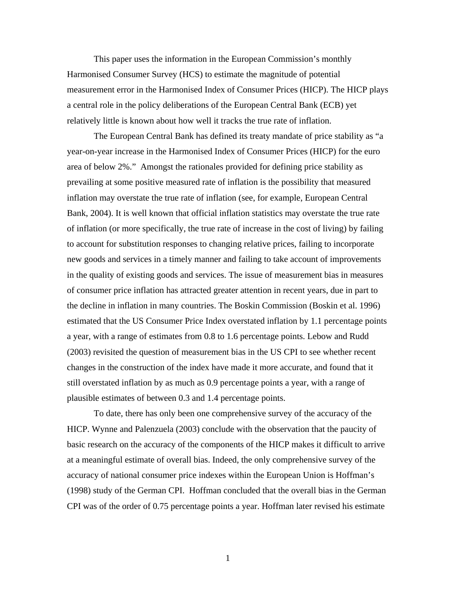This paper uses the information in the European Commission's monthly Harmonised Consumer Survey (HCS) to estimate the magnitude of potential measurement error in the Harmonised Index of Consumer Prices (HICP). The HICP plays a central role in the policy deliberations of the European Central Bank (ECB) yet relatively little is known about how well it tracks the true rate of inflation.

The European Central Bank has defined its treaty mandate of price stability as "a year-on-year increase in the Harmonised Index of Consumer Prices (HICP) for the euro area of below 2%." Amongst the rationales provided for defining price stability as prevailing at some positive measured rate of inflation is the possibility that measured inflation may overstate the true rate of inflation (see, for example, European Central Bank, 2004). It is well known that official inflation statistics may overstate the true rate of inflation (or more specifically, the true rate of increase in the cost of living) by failing to account for substitution responses to changing relative prices, failing to incorporate new goods and services in a timely manner and failing to take account of improvements in the quality of existing goods and services. The issue of measurement bias in measures of consumer price inflation has attracted greater attention in recent years, due in part to the decline in inflation in many countries. The Boskin Commission (Boskin et al. 1996) estimated that the US Consumer Price Index overstated inflation by 1.1 percentage points a year, with a range of estimates from 0.8 to 1.6 percentage points. Lebow and Rudd (2003) revisited the question of measurement bias in the US CPI to see whether recent changes in the construction of the index have made it more accurate, and found that it still overstated inflation by as much as 0.9 percentage points a year, with a range of plausible estimates of between 0.3 and 1.4 percentage points.

To date, there has only been one comprehensive survey of the accuracy of the HICP. Wynne and Palenzuela (2003) conclude with the observation that the paucity of basic research on the accuracy of the components of the HICP makes it difficult to arrive at a meaningful estimate of overall bias. Indeed, the only comprehensive survey of the accuracy of national consumer price indexes within the European Union is Hoffman's (1998) study of the German CPI. Hoffman concluded that the overall bias in the German CPI was of the order of 0.75 percentage points a year. Hoffman later revised his estimate

1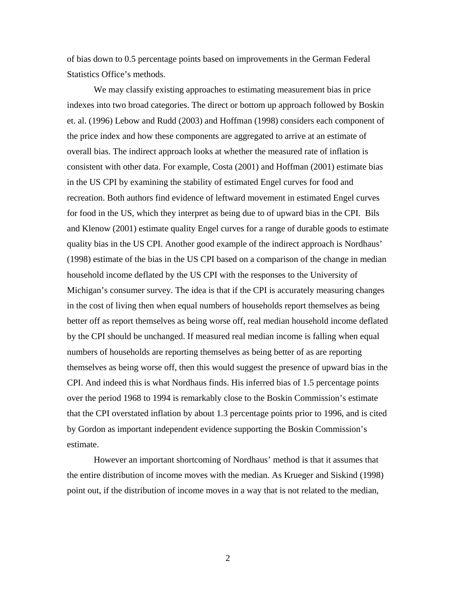of bias down to 0.5 percentage points based on improvements in the German Federal Statistics Office's methods.

We may classify existing approaches to estimating measurement bias in price indexes into two broad categories. The direct or bottom up approach followed by Boskin et. al. (1996) Lebow and Rudd (2003) and Hoffman (1998) considers each component of the price index and how these components are aggregated to arrive at an estimate of overall bias. The indirect approach looks at whether the measured rate of inflation is consistent with other data. For example, Costa (2001) and Hoffman (2001) estimate bias in the US CPI by examining the stability of estimated Engel curves for food and recreation. Both authors find evidence of leftward movement in estimated Engel curves for food in the US, which they interpret as being due to of upward bias in the CPI. Bils and Klenow (2001) estimate quality Engel curves for a range of durable goods to estimate quality bias in the US CPI. Another good example of the indirect approach is Nordhaus' (1998) estimate of the bias in the US CPI based on a comparison of the change in median household income deflated by the US CPI with the responses to the University of Michigan's consumer survey. The idea is that if the CPI is accurately measuring changes in the cost of living then when equal numbers of households report themselves as being better off as report themselves as being worse off, real median household income deflated by the CPI should be unchanged. If measured real median income is falling when equal numbers of households are reporting themselves as being better of as are reporting themselves as being worse off, then this would suggest the presence of upward bias in the CPI. And indeed this is what Nordhaus finds. His inferred bias of 1.5 percentage points over the period 1968 to 1994 is remarkably close to the Boskin Commission's estimate that the CPI overstated inflation by about 1.3 percentage points prior to 1996, and is cited by Gordon as important independent evidence supporting the Boskin Commission's estimate.

However an important shortcoming of Nordhaus' method is that it assumes that the entire distribution of income moves with the median. As Krueger and Siskind (1998) point out, if the distribution of income moves in a way that is not related to the median,

2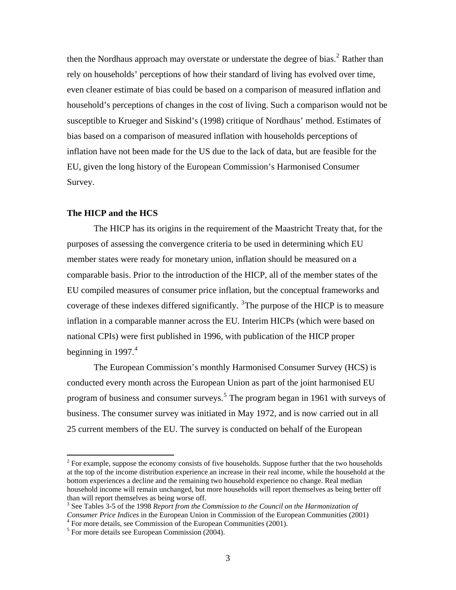then the Nordhaus approach may overstate or understate the degree of bias. $2$  Rather than rely on households' perceptions of how their standard of living has evolved over time, even cleaner estimate of bias could be based on a comparison of measured inflation and household's perceptions of changes in the cost of living. Such a comparison would not be susceptible to Krueger and Siskind's (1998) critique of Nordhaus' method. Estimates of bias based on a comparison of measured inflation with households perceptions of inflation have not been made for the US due to the lack of data, but are feasible for the EU, given the long history of the European Commission's Harmonised Consumer Survey.

### **The HICP and the HCS**

 $\overline{a}$ 

The HICP has its origins in the requirement of the Maastricht Treaty that, for the purposes of assessing the convergence criteria to be used in determining which EU member states were ready for monetary union, inflation should be measured on a comparable basis. Prior to the introduction of the HICP, all of the member states of the EU compiled measures of consumer price inflation, but the conceptual frameworks and coverage of these indexes differed significantly.  ${}^{3}$  ${}^{3}$  ${}^{3}$ The purpose of the HICP is to measure inflation in a comparable manner across the EU. Interim HICPs (which were based on national CPIs) were first published in 1996, with publication of the HICP proper beginning in 1997. $4$ 

 The European Commission's monthly Harmonised Consumer Survey (HCS) is conducted every month across the European Union as part of the joint harmonised EU program of business and consumer surveys.<sup>[5](#page-4-3)</sup> The program began in 1961 with surveys of business. The consumer survey was initiated in May 1972, and is now carried out in all 25 current members of the EU. The survey is conducted on behalf of the European

<span id="page-4-0"></span> $2^{2}$  For example, suppose the economy consists of five households. Suppose further that the two households at the top of the income distribution experience an increase in their real income, while the household at the bottom experiences a decline and the remaining two household experience no change. Real median household income will remain unchanged, but more households will report themselves as being better off than will report themselves as being worse off.

<span id="page-4-1"></span><sup>&</sup>lt;sup>3</sup> See Tables 3-5 of the 1998 *Report from the Commission to the Council on the Harmonization of Consumer Price Indices* in the European Union in Commission of the European Communities (2001) 4  $4$  For more details, see Commission of the European Communities (2001).

<span id="page-4-3"></span><span id="page-4-2"></span>

 $<sup>5</sup>$  For more details see European Commission (2004).</sup>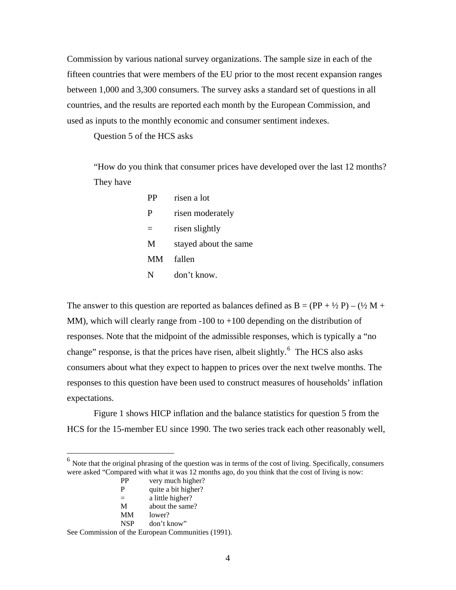Commission by various national survey organizations. The sample size in each of the fifteen countries that were members of the EU prior to the most recent expansion ranges between 1,000 and 3,300 consumers. The survey asks a standard set of questions in all countries, and the results are reported each month by the European Commission, and used as inputs to the monthly economic and consumer sentiment indexes.

Question 5 of the HCS asks

"How do you think that consumer prices have developed over the last 12 months? They have

| <b>PP</b> | risen a lot           |
|-----------|-----------------------|
| P         | risen moderately      |
|           | risen slightly        |
| M         | stayed about the same |
| MМ        | fallen                |
| N         | don't know.           |

The answer to this question are reported as balances defined as  $B = (PP + \frac{1}{2}P) - (\frac{1}{2}M +$ MM), which will clearly range from  $-100$  to  $+100$  depending on the distribution of responses. Note that the midpoint of the admissible responses, which is typically a "no change" response, is that the prices have risen, albeit slightly.<sup>[6](#page-5-0)</sup> The HCS also asks consumers about what they expect to happen to prices over the next twelve months. The responses to this question have been used to construct measures of households' inflation expectations.

Figure 1 shows HICP inflation and the balance statistics for question 5 from the HCS for the 15-member EU since 1990. The two series track each other reasonably well,

- PP very much higher?
- P quite a bit higher?

 $\overline{a}$ 

See Commission of the European Communities (1991).

<span id="page-5-0"></span><sup>6</sup> Note that the original phrasing of the question was in terms of the cost of living. Specifically, consumers were asked "Compared with what it was 12 months ago, do you think that the cost of living is now:

<sup>=</sup> a little higher?

M about the same?

MM lower?

NSP don't know"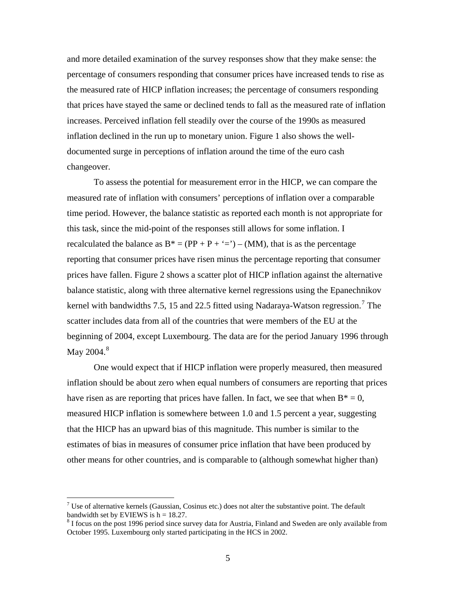and more detailed examination of the survey responses show that they make sense: the percentage of consumers responding that consumer prices have increased tends to rise as the measured rate of HICP inflation increases; the percentage of consumers responding that prices have stayed the same or declined tends to fall as the measured rate of inflation increases. Perceived inflation fell steadily over the course of the 1990s as measured inflation declined in the run up to monetary union. Figure 1 also shows the welldocumented surge in perceptions of inflation around the time of the euro cash changeover.

 To assess the potential for measurement error in the HICP, we can compare the measured rate of inflation with consumers' perceptions of inflation over a comparable time period. However, the balance statistic as reported each month is not appropriate for this task, since the mid-point of the responses still allows for some inflation. I recalculated the balance as  $B^* = (PP + P + '=') - (MM)$ , that is as the percentage reporting that consumer prices have risen minus the percentage reporting that consumer prices have fallen. Figure 2 shows a scatter plot of HICP inflation against the alternative balance statistic, along with three alternative kernel regressions using the Epanechnikov kernel with bandwidths [7](#page-6-0).5, 15 and 22.5 fitted using Nadaraya-Watson regression.<sup>7</sup> The scatter includes data from all of the countries that were members of the EU at the beginning of 2004, except Luxembourg. The data are for the period January 1996 through May 2004. $^8$  $^8$ 

One would expect that if HICP inflation were properly measured, then measured inflation should be about zero when equal numbers of consumers are reporting that prices have risen as are reporting that prices have fallen. In fact, we see that when  $B^* = 0$ , measured HICP inflation is somewhere between 1.0 and 1.5 percent a year, suggesting that the HICP has an upward bias of this magnitude. This number is similar to the estimates of bias in measures of consumer price inflation that have been produced by other means for other countries, and is comparable to (although somewhat higher than)

 $\overline{a}$ 

<span id="page-6-0"></span><sup>&</sup>lt;sup>7</sup> Use of alternative kernels (Gaussian, Cosinus etc.) does not alter the substantive point. The default bandwidth set by EVIEWS is  $h = 18.27$ .

<span id="page-6-1"></span><sup>&</sup>lt;sup>8</sup> I focus on the post 1996 period since survey data for Austria, Finland and Sweden are only available from October 1995. Luxembourg only started participating in the HCS in 2002.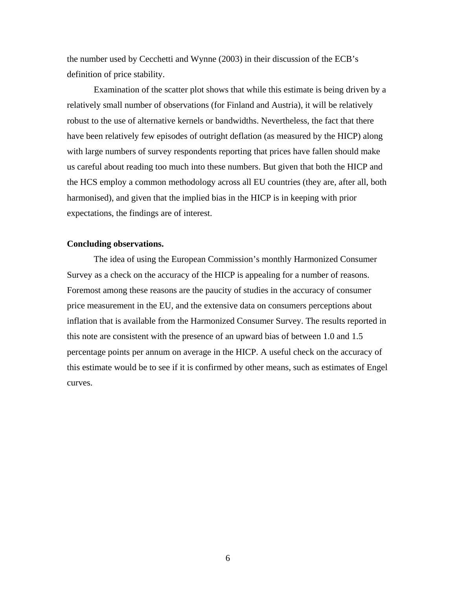the number used by Cecchetti and Wynne (2003) in their discussion of the ECB's definition of price stability.

Examination of the scatter plot shows that while this estimate is being driven by a relatively small number of observations (for Finland and Austria), it will be relatively robust to the use of alternative kernels or bandwidths. Nevertheless, the fact that there have been relatively few episodes of outright deflation (as measured by the HICP) along with large numbers of survey respondents reporting that prices have fallen should make us careful about reading too much into these numbers. But given that both the HICP and the HCS employ a common methodology across all EU countries (they are, after all, both harmonised), and given that the implied bias in the HICP is in keeping with prior expectations, the findings are of interest.

#### **Concluding observations.**

 The idea of using the European Commission's monthly Harmonized Consumer Survey as a check on the accuracy of the HICP is appealing for a number of reasons. Foremost among these reasons are the paucity of studies in the accuracy of consumer price measurement in the EU, and the extensive data on consumers perceptions about inflation that is available from the Harmonized Consumer Survey. The results reported in this note are consistent with the presence of an upward bias of between 1.0 and 1.5 percentage points per annum on average in the HICP. A useful check on the accuracy of this estimate would be to see if it is confirmed by other means, such as estimates of Engel curves.

6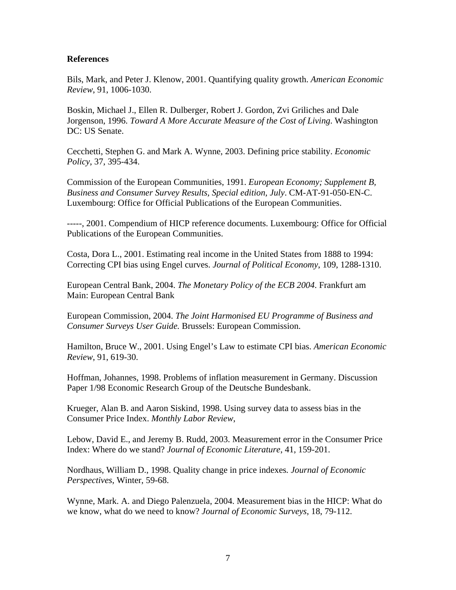### **References**

Bils, Mark, and Peter J. Klenow, 2001. Quantifying quality growth. *American Economic Review*, 91, 1006-1030.

Boskin, Michael J., Ellen R. Dulberger, Robert J. Gordon, Zvi Griliches and Dale Jorgenson, 1996. *Toward A More Accurate Measure of the Cost of Living*. Washington DC: US Senate.

Cecchetti, Stephen G. and Mark A. Wynne, 2003. Defining price stability. *Economic Policy*, 37, 395-434.

Commission of the European Communities, 1991. *European Economy; Supplement B, Business and Consumer Survey Results, Special edition, July*. CM-AT-91-050-EN-C. Luxembourg: Office for Official Publications of the European Communities.

-----, 2001. Compendium of HICP reference documents. Luxembourg: Office for Official Publications of the European Communities.

Costa, Dora L., 2001. Estimating real income in the United States from 1888 to 1994: Correcting CPI bias using Engel curves. *Journal of Political Economy*, 109, 1288-1310.

European Central Bank, 2004. *The Monetary Policy of the ECB 2004*. Frankfurt am Main: European Central Bank

European Commission, 2004. *The Joint Harmonised EU Programme of Business and Consumer Surveys User Guide.* Brussels: European Commission.

Hamilton, Bruce W., 2001. Using Engel's Law to estimate CPI bias. *American Economic Review*, 91, 619-30.

Hoffman, Johannes, 1998. Problems of inflation measurement in Germany. Discussion Paper 1/98 Economic Research Group of the Deutsche Bundesbank.

Krueger, Alan B. and Aaron Siskind, 1998. Using survey data to assess bias in the Consumer Price Index. *Monthly Labor Review*,

Lebow, David E., and Jeremy B. Rudd, 2003. Measurement error in the Consumer Price Index: Where do we stand? *Journal of Economic Literature*, 41, 159-201.

Nordhaus, William D., 1998. Quality change in price indexes*. Journal of Economic Perspectives*, Winter, 59-68.

Wynne, Mark. A. and Diego Palenzuela, 2004. Measurement bias in the HICP: What do we know, what do we need to know? *Journal of Economic Surveys*, 18, 79-112.